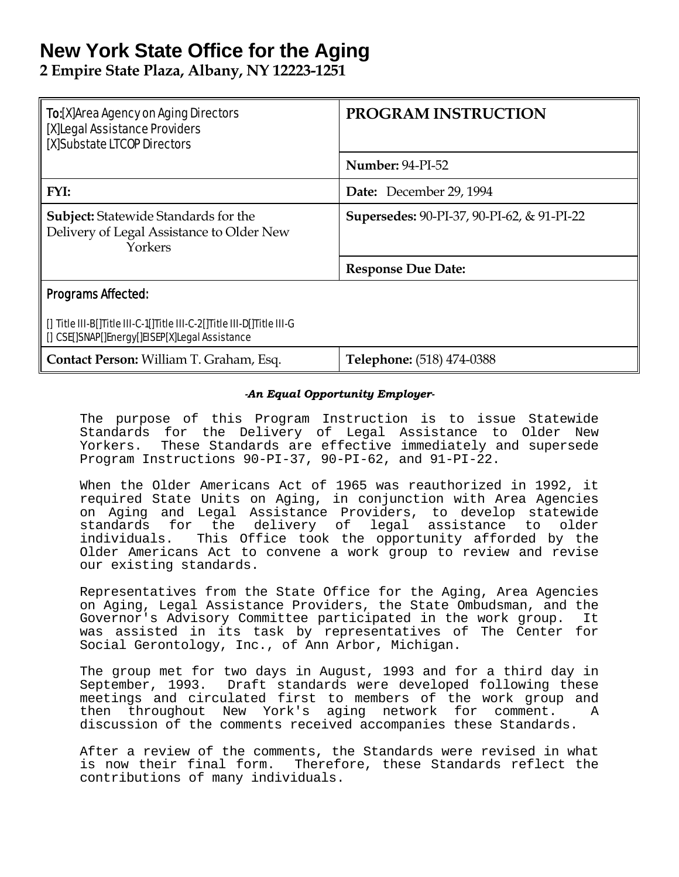# **New York State Office for the Aging**

**2 Empire State Plaza, Albany, NY 12223-1251** 

| <b>To:</b> [X]Area Agency on Aging Directors<br>[X]Legal Assistance Providers<br>[X]Substate LTCOP Directors             | <b>PROGRAM INSTRUCTION</b>                 |  |
|--------------------------------------------------------------------------------------------------------------------------|--------------------------------------------|--|
|                                                                                                                          | <b>Number: 94-PI-52</b>                    |  |
| FYI:                                                                                                                     | Date: December 29, 1994                    |  |
| <b>Subject:</b> Statewide Standards for the<br>Delivery of Legal Assistance to Older New<br>Yorkers                      | Supersedes: 90-PI-37, 90-PI-62, & 91-PI-22 |  |
|                                                                                                                          | <b>Response Due Date:</b>                  |  |
| <b>Programs Affected:</b>                                                                                                |                                            |  |
| [] Title III-B[]Title III-C-1[]Title III-C-2[]Title III-D[]Title III-G<br>[] CSE[]SNAP[]Energy[]EISEP[X]Legal Assistance |                                            |  |
| Contact Person: William T. Graham, Esq.                                                                                  | Telephone: (518) 474-0388                  |  |

### *-An Equal Opportunity Employer-*

The purpose of this Program Instruction is to issue Statewide Standards for the Delivery of Legal Assistance to Older New Yorkers. These Standards are effective immediately and supersede Program Instructions 90-PI-37, 90-PI-62, and 91-PI-22.

When the Older Americans Act of 1965 was reauthorized in 1992, it required State Units on Aging, in conjunction with Area Agencies on Aging and Legal Assistance Providers, to develop statewide standards for the delivery of legal assistance to older individuals. This Office took the opportunity afforded by the Older Americans Act to convene a work group to review and revise our existing standards.

Representatives from the State Office for the Aging, Area Agencies on Aging, Legal Assistance Providers, the State Ombudsman, and the Governor's Advisory Committee participated in the work group. It was assisted in its task by representatives of The Center for Social Gerontology, Inc., of Ann Arbor, Michigan.

The group met for two days in August, 1993 and for a third day in September, 1993. Draft standards were developed following these meetings and circulated first to members of the work group and then throughout New York's aging network for comment. A discussion of the comments received accompanies these Standards.

After a review of the comments, the Standards were revised in what is now their final form. Therefore, these Standards reflect the contributions of many individuals.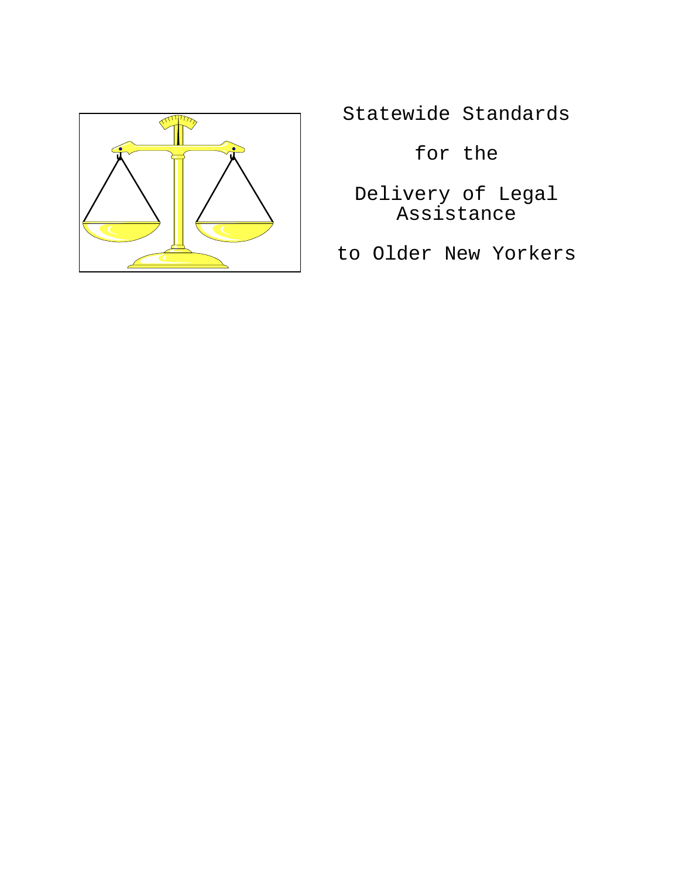

Statewide Standards

for the

Delivery of Legal Assistance

to Older New Yorkers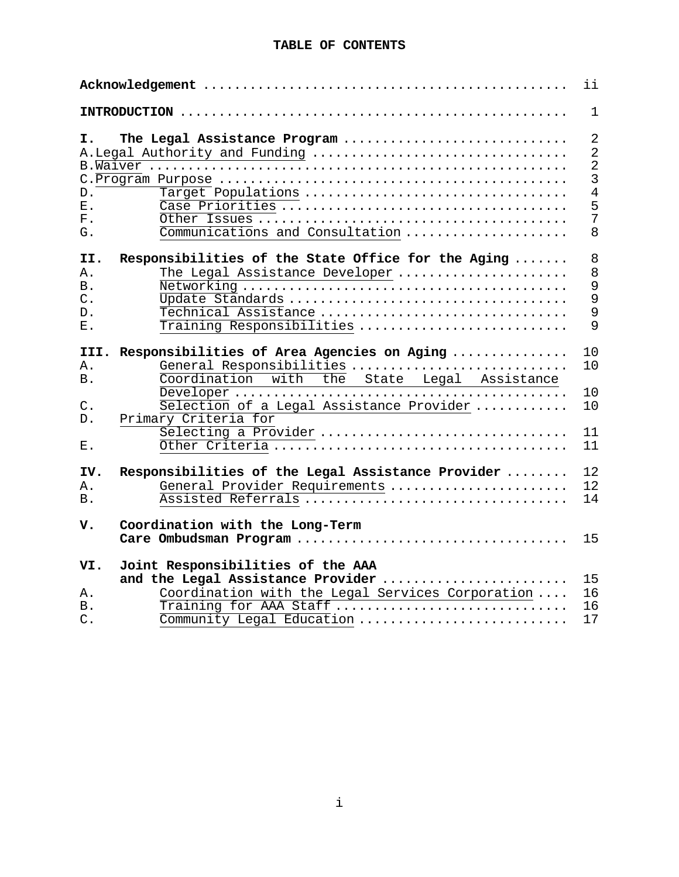#### **TABLE OF CONTENTS**

| ii                                        |                                                                                                                                           |                                                                                                       |  |
|-------------------------------------------|-------------------------------------------------------------------------------------------------------------------------------------------|-------------------------------------------------------------------------------------------------------|--|
|                                           |                                                                                                                                           | $\mathbf{1}$                                                                                          |  |
| I.<br>$D$ .<br>$E$ .<br>${\bf F}$ .<br>G. | The Legal Assistance Program<br>A. Legal Authority and Funding<br>Target Populations<br>Communications and Consultation                   | $\overline{2}$<br>$\overline{2}$<br>$\overline{2}$<br>$\overline{3}$<br>$\overline{4}$<br>5<br>7<br>8 |  |
| II.<br>Α.<br>Β.<br>$C$ .<br>$D$ .<br>Ε.   | Responsibilities of the State Office for the Aging<br>The Legal Assistance Developer<br>Technical Assistance<br>Training Responsibilities | 8<br>8<br>9<br>9<br>9<br>9                                                                            |  |
| III.<br>Α.                                | Responsibilities of Area Agencies on Aging<br>General Responsibilities                                                                    | 10<br>10                                                                                              |  |
| Β.                                        | Coordination with the State Legal Assistance                                                                                              | 10                                                                                                    |  |
| $C$ .<br>D.                               | Selection of a Legal Assistance Provider<br>Primary Criteria for                                                                          | 10                                                                                                    |  |
| ${\bf E}$ .                               | Selecting a Provider                                                                                                                      | 11<br>11                                                                                              |  |
| IV.<br>Α.<br><b>B</b> .                   | Responsibilities of the Legal Assistance Provider<br>General Provider Requirements                                                        | 12<br>12<br>14                                                                                        |  |
| v.                                        | Coordination with the Long-Term                                                                                                           | 15                                                                                                    |  |
| VI.                                       | Joint Responsibilities of the AAA<br>and the Legal Assistance Provider<br>15                                                              |                                                                                                       |  |
| Α.                                        | Coordination with the Legal Services Corporation                                                                                          | 16                                                                                                    |  |
| Β.                                        | Training for AAA Staff                                                                                                                    | 16                                                                                                    |  |
| $C$ .                                     | Community Legal Education                                                                                                                 | 17                                                                                                    |  |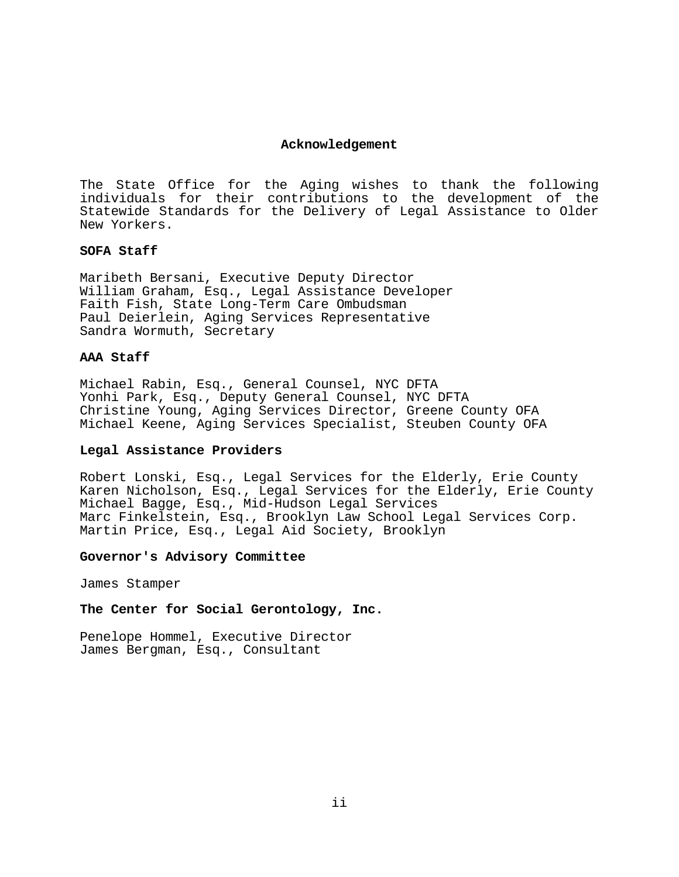#### **Acknowledgement**

The State Office for the Aging wishes to thank the following individuals for their contributions to the development of the Statewide Standards for the Delivery of Legal Assistance to Older New Yorkers.

#### **SOFA Staff**

Maribeth Bersani, Executive Deputy Director William Graham, Esq., Legal Assistance Developer Faith Fish, State Long-Term Care Ombudsman Paul Deierlein, Aging Services Representative Sandra Wormuth, Secretary

#### **AAA Staff**

Michael Rabin, Esq., General Counsel, NYC DFTA Yonhi Park, Esq., Deputy General Counsel, NYC DFTA Christine Young, Aging Services Director, Greene County OFA Michael Keene, Aging Services Specialist, Steuben County OFA

#### **Legal Assistance Providers**

Robert Lonski, Esq., Legal Services for the Elderly, Erie County Karen Nicholson, Esq., Legal Services for the Elderly, Erie County Michael Bagge, Esq., Mid-Hudson Legal Services Marc Finkelstein, Esq., Brooklyn Law School Legal Services Corp. Martin Price, Esq., Legal Aid Society, Brooklyn

#### **Governor's Advisory Committee**

James Stamper

**The Center for Social Gerontology, Inc.**

Penelope Hommel, Executive Director James Bergman, Esq., Consultant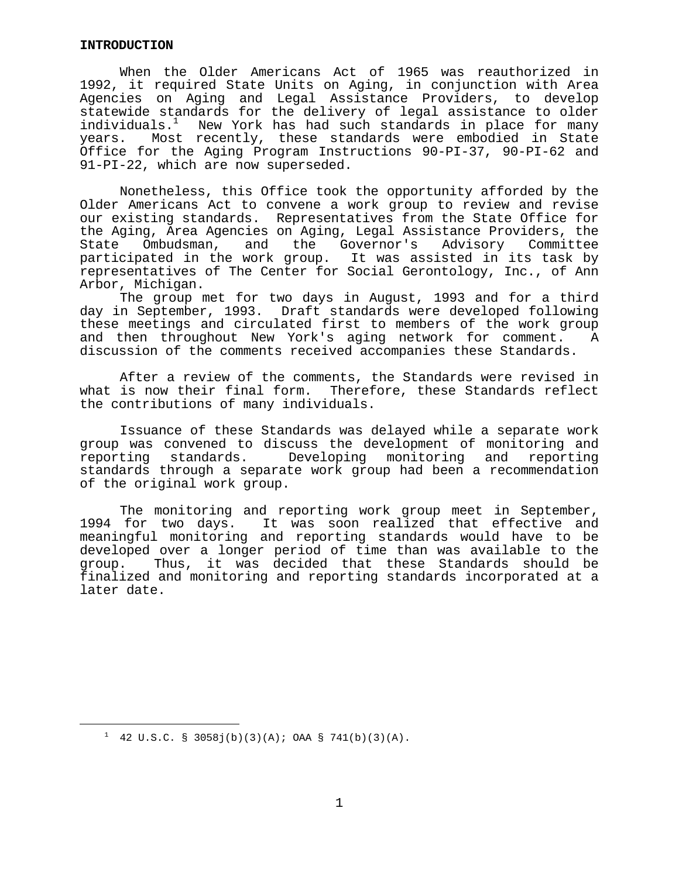#### **INTRODUCTION**

 When the Older Americans Act of 1965 was reauthorized in 1992, it required State Units on Aging, in conjunction with Area Agencies on Aging and Legal Assistance Providers, to develop statewide standards for the delivery of legal assistance to older individuals.<sup>1</sup> New York has had such standards in place for many years. Most recently, these standards were embodied in State Office for the Aging Program Instructions 90-PI-37, 90-PI-62 and 91-PI-22, which are now superseded.

 Nonetheless, this Office took the opportunity afforded by the Older Americans Act to convene a work group to review and revise our existing standards. Representatives from the State Office for the Aging, Area Agencies on Aging, Legal Assistance Providers, the State Ombudsman, and the Governor's Advisory Committee participated in the work group. It was assisted in its task by representatives of The Center for Social Gerontology, Inc., of Ann Arbor, Michigan.

 The group met for two days in August, 1993 and for a third day in September, 1993. Draft standards were developed following these meetings and circulated first to members of the work group and then throughout New York's aging network for comment. A discussion of the comments received accompanies these Standards.

 After a review of the comments, the Standards were revised in what is now their final form. Therefore, these Standards reflect the contributions of many individuals.

 Issuance of these Standards was delayed while a separate work group was convened to discuss the development of monitoring and reporting standards. Developing monitoring and reporting standards through a separate work group had been a recommendation of the original work group.

 The monitoring and reporting work group meet in September, 1994 for two days. It was soon realized that effective and meaningful monitoring and reporting standards would have to be developed over a longer period of time than was available to the group. Thus, it was decided that these Standards should be finalized and monitoring and reporting standards incorporated at a later date.

i

<span id="page-4-0"></span> $1$  42 U.S.C. § 3058j(b)(3)(A); OAA § 741(b)(3)(A).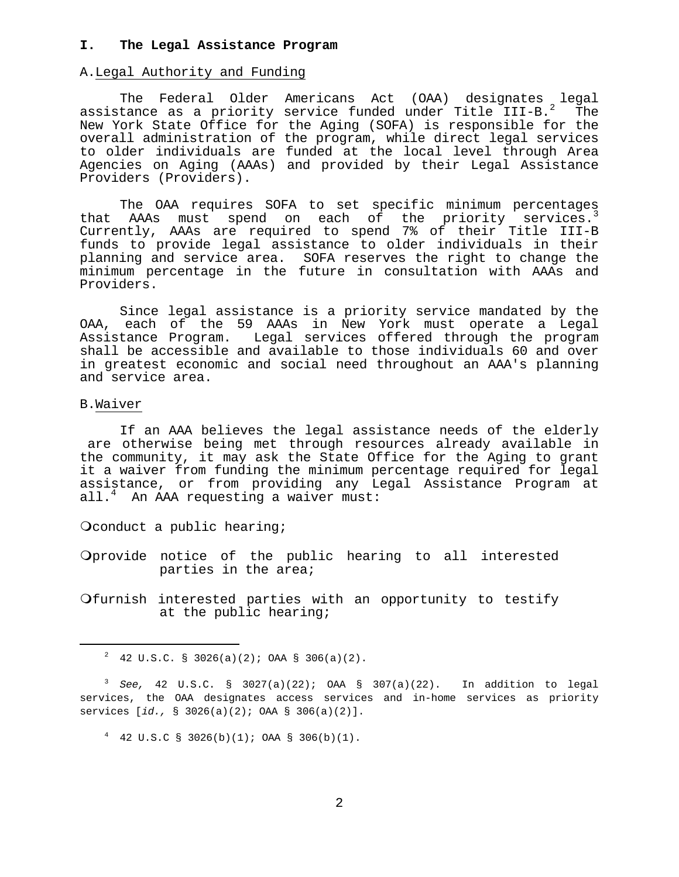#### **I. The Legal Assistance Program**

#### A.Legal Authority and Funding

 The Federal Older Americans Act (OAA) designates legal assistance as a priority service funded under Title III-B.<sup>2</sup> The New York State Office for the Aging (SOFA) is responsible for the overall administration of the program, while direct legal services to older individuals are funded at the local level through Area Agencies on Aging (AAAs) and provided by their Legal Assistance Providers (Providers).

 The OAA requires SOFA to set specific minimum percentages that AAAs must spend on each of the priority services.<sup>3</sup> Currently, AAAs are required to spend 7% of their Title III-B funds to provide legal assistance to older individuals in their planning and service area. SOFA reserves the right to change the minimum percentage in the future in consultation with AAAs and Providers.

 Since legal assistance is a priority service mandated by the OAA, each of the 59 AAAs in New York must operate a Legal Assistance Program. Legal services offered through the program shall be accessible and available to those individuals 60 and over in greatest economic and social need throughout an AAA's planning and service area.

#### B.Waiver

 $\overline{\phantom{0}}$ 

 If an AAA believes the legal assistance needs of the elderly are otherwise being met through resources already available in the community, it may ask the State Office for the Aging to grant it a waiver from funding the minimum percentage required for legal assistance, or from providing any Legal Assistance Program at all[.4](#page-5-2) An AAA requesting a waiver must:

Oconduct a public hearing;

Oprovide notice of the public hearing to all interested parties in the area;

Ofurnish interested parties with an opportunity to testify at the public hearing;

<span id="page-5-0"></span> $2$  42 U.S.C. § 3026(a)(2); OAA § 306(a)(2).

<span id="page-5-1"></span><sup>3</sup>  *See,* 42 U.S.C. § 3027(a)(22); OAA § 307(a)(22). In addition to legal services, the OAA designates access services and in-home services as priority services [*id.,* § 3026(a)(2); OAA § 306(a)(2)].

<span id="page-5-2"></span> $4$  42 U.S.C § 3026(b)(1); OAA § 306(b)(1).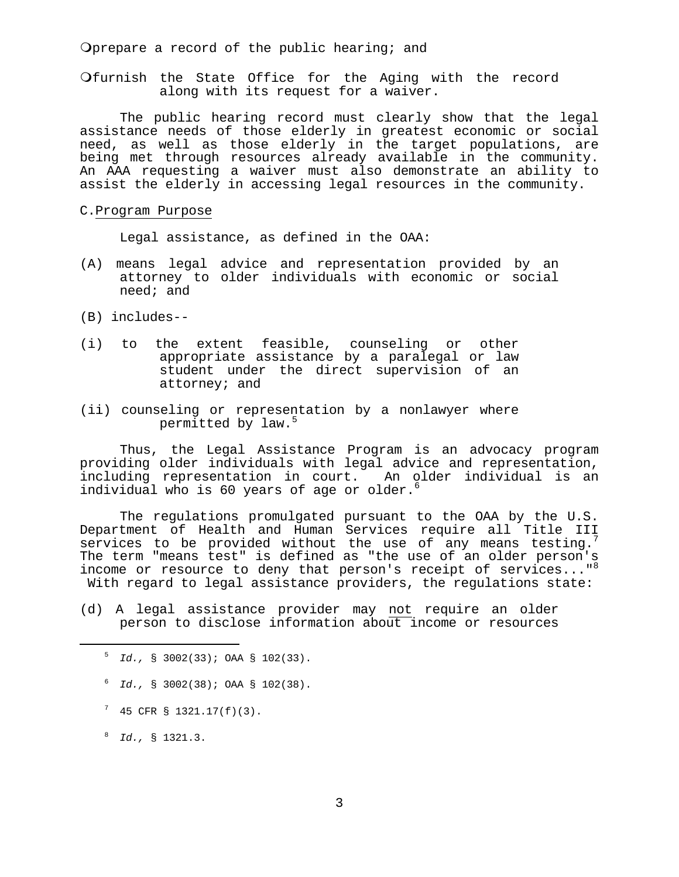Oprepare a record of the public hearing; and

Ofurnish the State Office for the Aging with the record along with its request for a waiver.

 The public hearing record must clearly show that the legal assistance needs of those elderly in greatest economic or social need, as well as those elderly in the target populations, are being met through resources already available in the community. An AAA requesting a waiver must also demonstrate an ability to assist the elderly in accessing legal resources in the community.

#### C.Program Purpose

Legal assistance, as defined in the OAA:

- (A) means legal advice and representation provided by an attorney to older individuals with economic or social need; and
- (B) includes--
- (i) to the extent feasible, counseling or other appropriate assistance by a paralegal or law student under the direct supervision of an attorney; and
- (ii) counseling or representation by a nonlawyer where permitted by law.<sup>5</sup>

 Thus, the Legal Assistance Program is an advocacy program providing older individuals with legal advice and representation, including representation in court. An older individual is an individual who is [6](#page-6-1)0 years of age or older.<sup>6</sup>

 The regulations promulgated pursuant to the OAA by the U.S. Department of Health and Human Services require all Title III services to be provided without the use of any means testing.<sup>7</sup> The term "means test" is defined as "the use of an older person's income or resource to deny that person's receipt of services..."<sup>8</sup> With regard to legal assistance providers, the regulations state:

(d) A legal assistance provider may not require an older person to disclose information about income or resources

- <span id="page-6-1"></span> $^6$  *Id.,* § 3002(38); OAA § 102(38).
- <span id="page-6-2"></span> $7$  45 CFR § 1321.17(f)(3).
- <span id="page-6-3"></span><sup>8</sup>  *Id.,* § 1321.3.

 $\overline{\phantom{0}}$ 

<span id="page-6-0"></span> $^{5}$  *Id.*, § 3002(33); OAA § 102(33).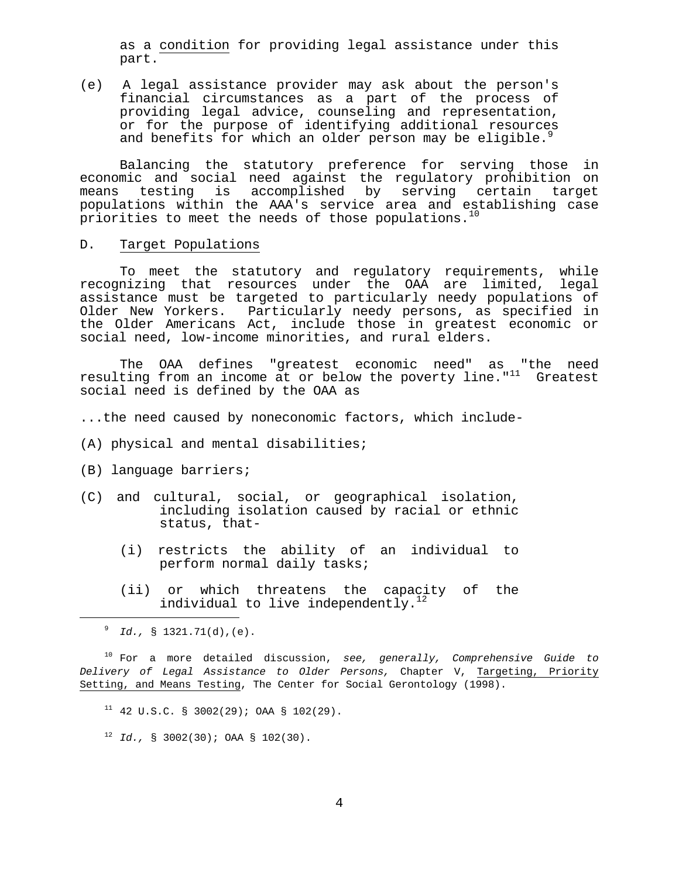as a condition for providing legal assistance under this part.

(e) A legal assistance provider may ask about the person's financial circumstances as a part of the process of providing legal advice, counseling and representation, or for the purpose of identifying additional resources and benefits for which an older person may be eligible.<sup>9</sup>

 Balancing the statutory preference for serving those in economic and social need against the regulatory prohibition on means testing is accomplished by serving certain target populations within the AAA's service area and establishing case priorities to meet the needs of those populations.<sup>10</sup>

### D. Target Populations

 To meet the statutory and regulatory requirements, while recognizing that resources under the OAA are limited, legal assistance must be targeted to particularly needy populations of Older New Yorkers. Particularly needy persons, as specified in the Older Americans Act, include those in greatest economic or social need, low-income minorities, and rural elders.

 The OAA defines "greatest economic need" as "the need resulting from an income at or below the poverty line."<sup>11</sup> Greatest social need is defined by the OAA as

...the need caused by noneconomic factors, which include-

- (A) physical and mental disabilities;
- (B) language barriers;
- (C) and cultural, social, or geographical isolation, including isolation caused by racial or ethnic status, that-
	- (i) restricts the ability of an individual to perform normal daily tasks;
	- (ii) or which threatens the capacity of the individual to live independently.<sup>1</sup>

i

<span id="page-7-1"></span> 10 For a more detailed discussion, *see, generally, Comprehensive Guide to Delivery of Legal Assistance to Older Persons,* Chapter V, Targeting, Priority Setting, and Means Testing, The Center for Social Gerontology (1998).

- <span id="page-7-2"></span> $11$  42 U.S.C. § 3002(29); OAA § 102(29).
- <span id="page-7-3"></span> $12$  *Id.*, § 3002(30); OAA § 102(30).

<span id="page-7-0"></span><sup>9</sup>  *Id.,* § 1321.71(d),(e).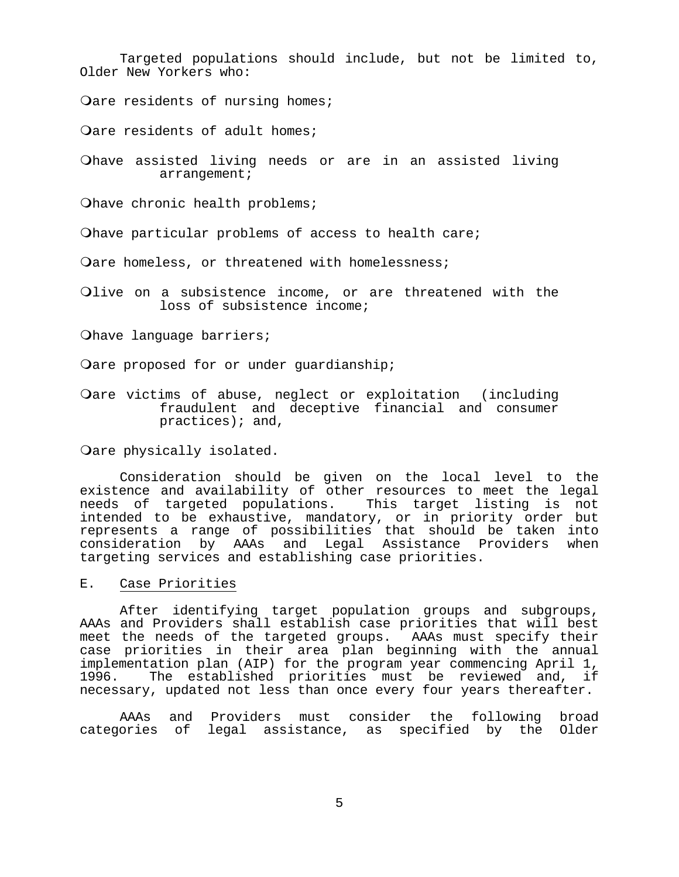Targeted populations should include, but not be limited to, Older New Yorkers who:

Oare residents of nursing homes;

Qare residents of adult homes;

Ohave assisted living needs or are in an assisted living arrangement;

Ohave chronic health problems;

Ohave particular problems of access to health care;

Oare homeless, or threatened with homelessness;

Olive on a subsistence income, or are threatened with the loss of subsistence income;

Ohave language barriers;

Oare proposed for or under guardianship;

Oare victims of abuse, neglect or exploitation (including fraudulent and deceptive financial and consumer practices); and,

Oare physically isolated.

 Consideration should be given on the local level to the existence and availability of other resources to meet the legal needs of targeted populations. This target listing is not intended to be exhaustive, mandatory, or in priority order but represents a range of possibilities that should be taken into consideration by AAAs and Legal Assistance Providers when targeting services and establishing case priorities.

E. Case Priorities

 After identifying target population groups and subgroups, AAAs and Providers shall establish case priorities that will best meet the needs of the targeted groups. AAAs must specify their case priorities in their area plan beginning with the annual implementation plan (AIP) for the program year commencing April 1, 1996. The established priorities must be reviewed and, if necessary, updated not less than once every four years thereafter.

 AAAs and Providers must consider the following broad categories of legal assistance, as specified by the Older

 $\sim$  5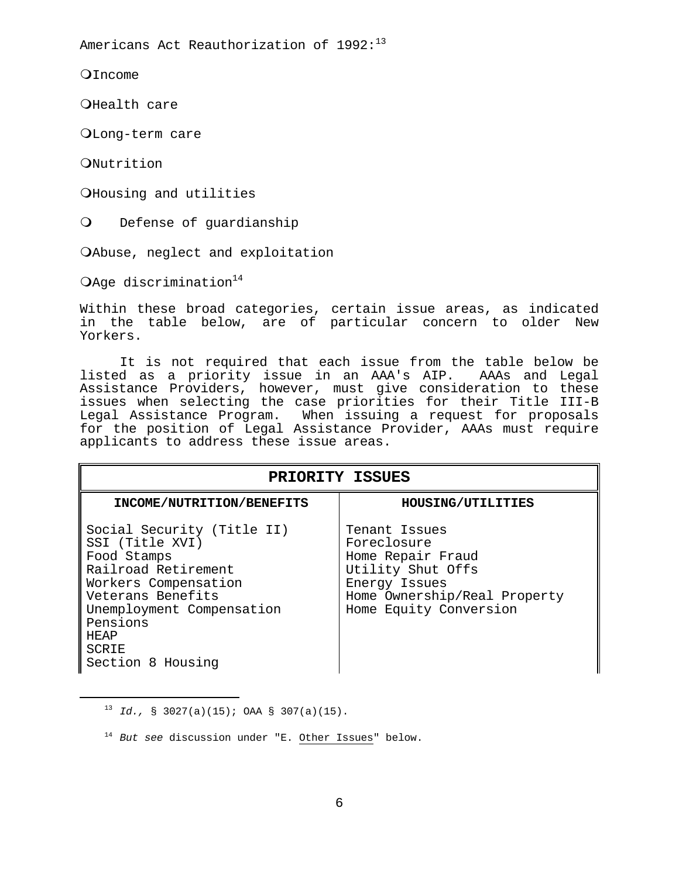Americans Act Reauthorization of 1992:<sup>[13](#page-9-0)</sup>

**O**Income

OHealth care

Long-term care

ONutrition

<span id="page-9-0"></span>i

O Housing and utilities

O Defense of guardianship

Abuse, neglect and exploitation

OAge discrimination $14$ 

Within these broad categories, certain issue areas, as indicated in the table below, are of particular concern to older New Yorkers.

 It is not required that each issue from the table below be listed as a priority issue in an AAA's AIP. AAAs and Legal Assistance Providers, however, must give consideration to these issues when selecting the case priorities for their Title III-B Legal Assistance Program. When issuing a request for proposals for the position of Legal Assistance Provider, AAAs must require applicants to address these issue areas.

| PRIORITY ISSUES                                                                                                                                                                                                        |                                                                                                                                                   |  |
|------------------------------------------------------------------------------------------------------------------------------------------------------------------------------------------------------------------------|---------------------------------------------------------------------------------------------------------------------------------------------------|--|
| INCOME/NUTRITION/BENEFITS                                                                                                                                                                                              | HOUSING/UTILITIES                                                                                                                                 |  |
| Social Security (Title II)<br>SSI (Title XVI)<br>Food Stamps<br>Railroad Retirement<br>Workers Compensation<br>Veterans Benefits<br>Unemployment Compensation<br>Pensions<br><b>HEAP</b><br>SCRIE<br>Section 8 Housing | Tenant Issues<br>Foreclosure<br>Home Repair Fraud<br>Utility Shut Offs<br>Energy Issues<br>Home Ownership/Real Property<br>Home Equity Conversion |  |

<sup>13</sup> *Id.,* § 3027(a)(15); OAA § 307(a)(15).

<span id="page-9-1"></span><sup>14</sup> *But see* discussion under "E. Other Issues" below.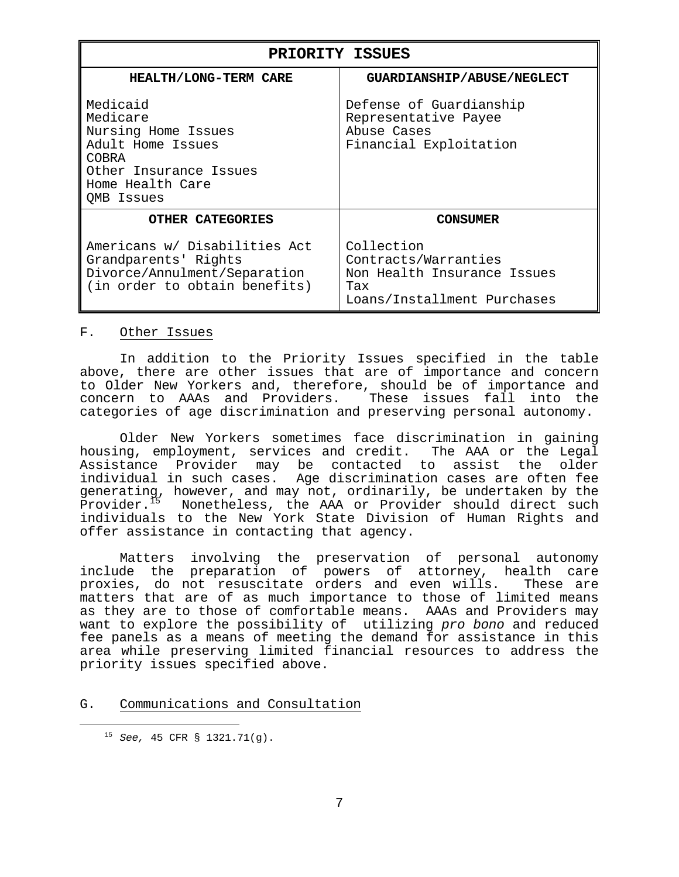| PRIORITY ISSUES                                                                                                                       |                                                                                                         |  |
|---------------------------------------------------------------------------------------------------------------------------------------|---------------------------------------------------------------------------------------------------------|--|
| HEALTH/LONG-TERM CARE                                                                                                                 | GUARDIANSHIP/ABUSE/NEGLECT                                                                              |  |
| Medicaid<br>Medicare<br>Nursing Home Issues<br>Adult Home Issues<br>COBRA<br>Other Insurance Issues<br>Home Health Care<br>OMB Issues | Defense of Guardianship<br>Representative Payee<br>Abuse Cases<br>Financial Exploitation                |  |
| <b>OTHER CATEGORIES</b>                                                                                                               | CONSUMER                                                                                                |  |
| Americans w/ Disabilities Act<br>Grandparents' Rights<br>Divorce/Annulment/Separation<br>(in order to obtain benefits)                | Collection<br>Contracts/Warranties<br>Non Health Insurance Issues<br>Tax<br>Loans/Installment Purchases |  |

#### F. Other Issues

 In addition to the Priority Issues specified in the table above, there are other issues that are of importance and concern to Older New Yorkers and, therefore, should be of importance and<br>concern to AAAs and Providers. These issues fall into the concern to AAAs and Providers. categories of age discrimination and preserving personal autonomy.

 Older New Yorkers sometimes face discrimination in gaining housing, employment, services and credit. The AAA or the Legal Assistance Provider may be contacted to assist the older individual in such cases. Age discrimination cases are often fee generating, however, and may not, ordinarily, be undertaken by the<br>Provider.<sup>15</sup> Nonetheless, the AAA or Provider should direct such Nonetheless, the AAA or Provider should direct such individuals to the New York State Division of Human Rights and offer assistance in contacting that agency.

 Matters involving the preservation of personal autonomy include the preparation of powers of attorney, health care proxies, do not resuscitate orders and even wills. These are matters that are of as much importance to those of limited means as they are to those of comfortable means. AAAs and Providers may want to explore the possibility of utilizing *pro bono* and reduced fee panels as a means of meeting the demand for assistance in this area while preserving limited financial resources to address the priority issues specified above.

#### G. Communications and Consultation

<span id="page-10-0"></span>i

<sup>15</sup> *See,* 45 CFR § 1321.71(g).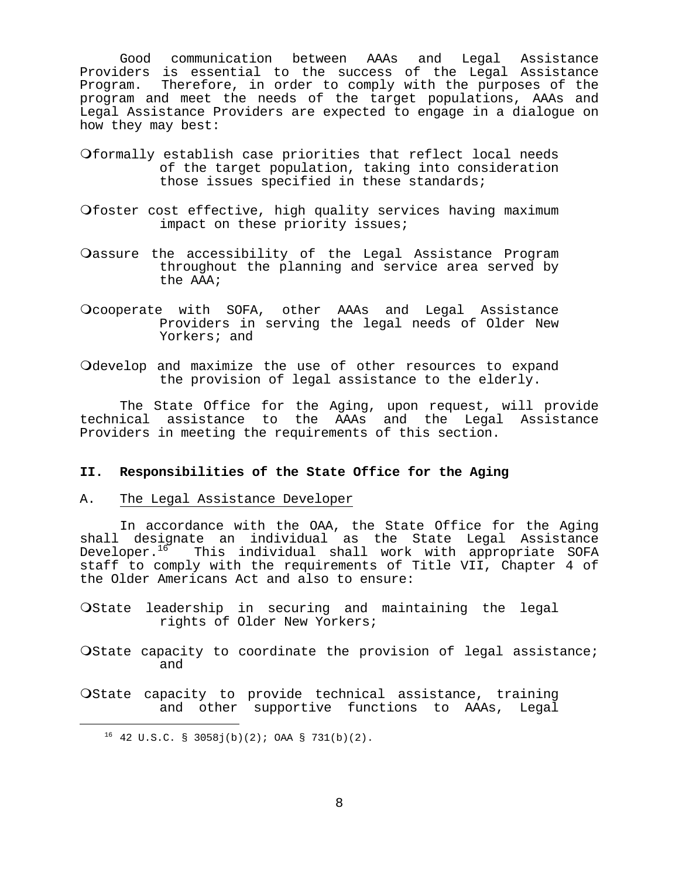Good communication between AAAs and Legal Assistance Providers is essential to the success of the Legal Assistance Program. Therefore, in order to comply with the purposes of the program and meet the needs of the target populations, AAAs and Legal Assistance Providers are expected to engage in a dialogue on how they may best:

- Oformally establish case priorities that reflect local needs of the target population, taking into consideration those issues specified in these standards;
- Ofoster cost effective, high quality services having maximum impact on these priority issues;
- Oassure the accessibility of the Legal Assistance Program throughout the planning and service area served by the AAA;
- Ocooperate with SOFA, other AAAs and Legal Assistance Providers in serving the legal needs of Older New Yorkers; and
- Odevelop and maximize the use of other resources to expand the provision of legal assistance to the elderly.

 The State Office for the Aging, upon request, will provide technical assistance to the AAAs and the Legal Assistance Providers in meeting the requirements of this section.

#### **II. Responsibilities of the State Office for the Aging**

#### A. The Legal Assistance Developer

 In accordance with the OAA, the State Office for the Aging shall designate an individual as the State Legal Assistance Developer.<sup>16</sup> This individual shall work with appropriate SOFA staff to comply with the requirements of Title VII, Chapter 4 of the Older Americans Act and also to ensure:

- Ostate leadership in securing and maintaining the legal rights of Older New Yorkers;
- Ostate capacity to coordinate the provision of legal assistance; and
- Ostate capacity to provide technical assistance, training and other supportive functions to AAAs, Legal

<span id="page-11-0"></span>i

 $16$  42 U.S.C. § 3058 $j(b)(2)$ ; OAA § 731(b)(2).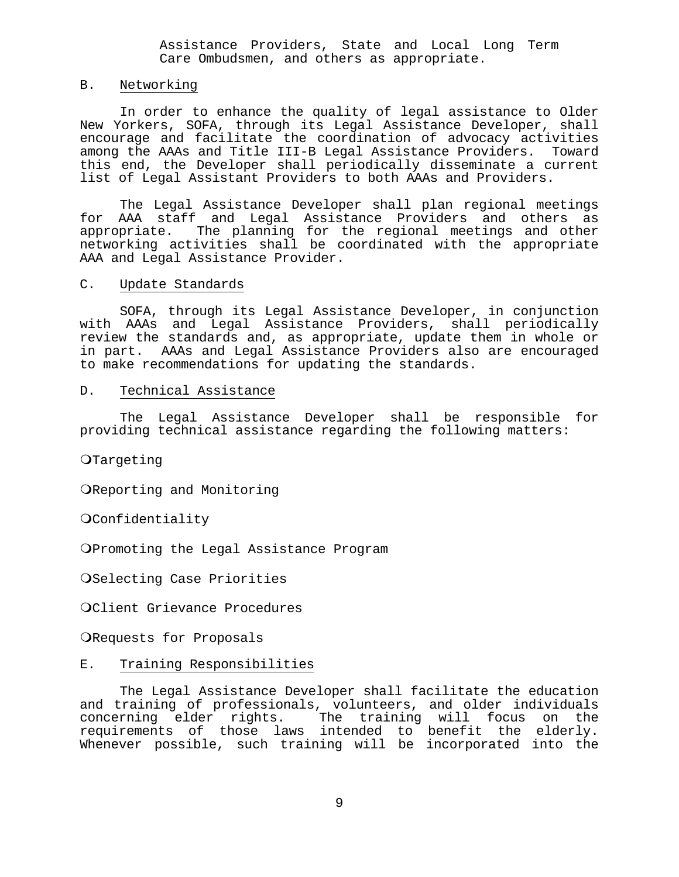Assistance Providers, State and Local Long Term Care Ombudsmen, and others as appropriate.

#### B. Networking

 In order to enhance the quality of legal assistance to Older New Yorkers, SOFA, through its Legal Assistance Developer, shall encourage and facilitate the coordination of advocacy activities among the AAAs and Title III-B Legal Assistance Providers. Toward this end, the Developer shall periodically disseminate a current list of Legal Assistant Providers to both AAAs and Providers.

 The Legal Assistance Developer shall plan regional meetings for AAA staff and Legal Assistance Providers and others as appropriate. The planning for the regional meetings and other networking activities shall be coordinated with the appropriate AAA and Legal Assistance Provider.

#### C. Update Standards

 SOFA, through its Legal Assistance Developer, in conjunction with AAAs and Legal Assistance Providers, shall periodically review the standards and, as appropriate, update them in whole or in part. AAAs and Legal Assistance Providers also are encouraged to make recommendations for updating the standards.

#### D. Technical Assistance

 The Legal Assistance Developer shall be responsible for providing technical assistance regarding the following matters:

OTargeting

OReporting and Monitoring

**OConfidentiality** 

Promoting the Legal Assistance Program

OSelecting Case Priorities

Client Grievance Procedures

ORequests for Proposals

#### E. Training Responsibilities

 The Legal Assistance Developer shall facilitate the education and training of professionals, volunteers, and older individuals concerning elder rights. The training will focus on the requirements of those laws intended to benefit the elderly. Whenever possible, such training will be incorporated into the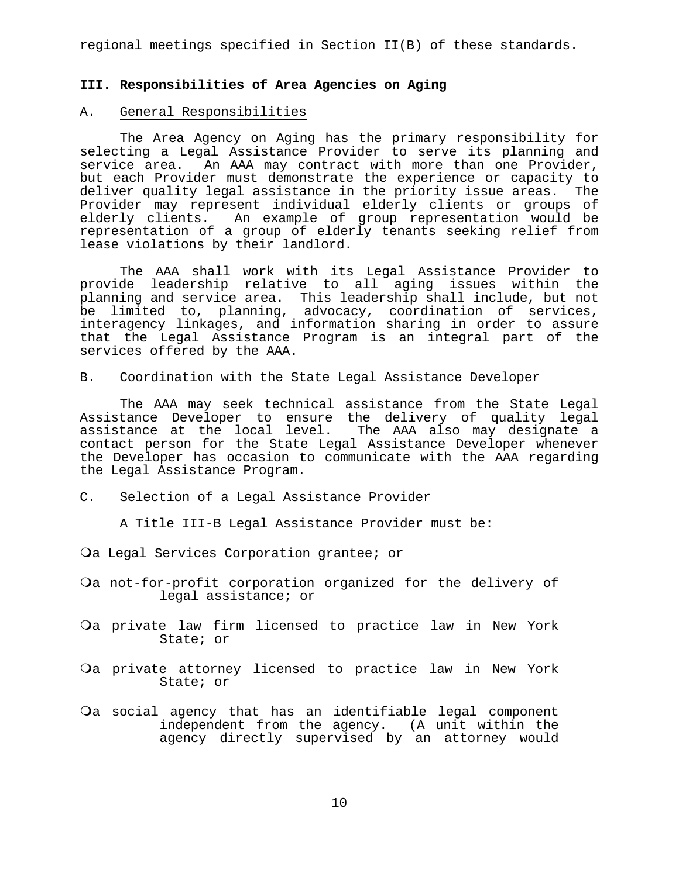regional meetings specified in Section II(B) of these standards.

#### **III. Responsibilities of Area Agencies on Aging**

#### A. General Responsibilities

 The Area Agency on Aging has the primary responsibility for selecting a Legal Assistance Provider to serve its planning and service area. An AAA may contract with more than one Provider, but each Provider must demonstrate the experience or capacity to deliver quality legal assistance in the priority issue areas. The Provider may represent individual elderly clients or groups of elderly clients. An example of group representation would be representation of a group of elderly tenants seeking relief from lease violations by their landlord.

 The AAA shall work with its Legal Assistance Provider to provide leadership relative to all aging issues within the planning and service area. This leadership shall include, but not be limited to, planning, advocacy, coordination of services, interagency linkages, and information sharing in order to assure that the Legal Assistance Program is an integral part of the services offered by the AAA.

#### B. Coordination with the State Legal Assistance Developer

 The AAA may seek technical assistance from the State Legal Assistance Developer to ensure the delivery of quality legal assistance at the local level. The AAA also may designate a contact person for the State Legal Assistance Developer whenever the Developer has occasion to communicate with the AAA regarding the Legal Assistance Program.

#### C. Selection of a Legal Assistance Provider

A Title III-B Legal Assistance Provider must be:

Qa Legal Services Corporation grantee; or

- Oa not-for-profit corporation organized for the delivery of legal assistance; or
- Oa private law firm licensed to practice law in New York State; or
- Oa private attorney licensed to practice law in New York State; or
- Oa social agency that has an identifiable legal component independent from the agency. (A unit within the agency directly supervised by an attorney would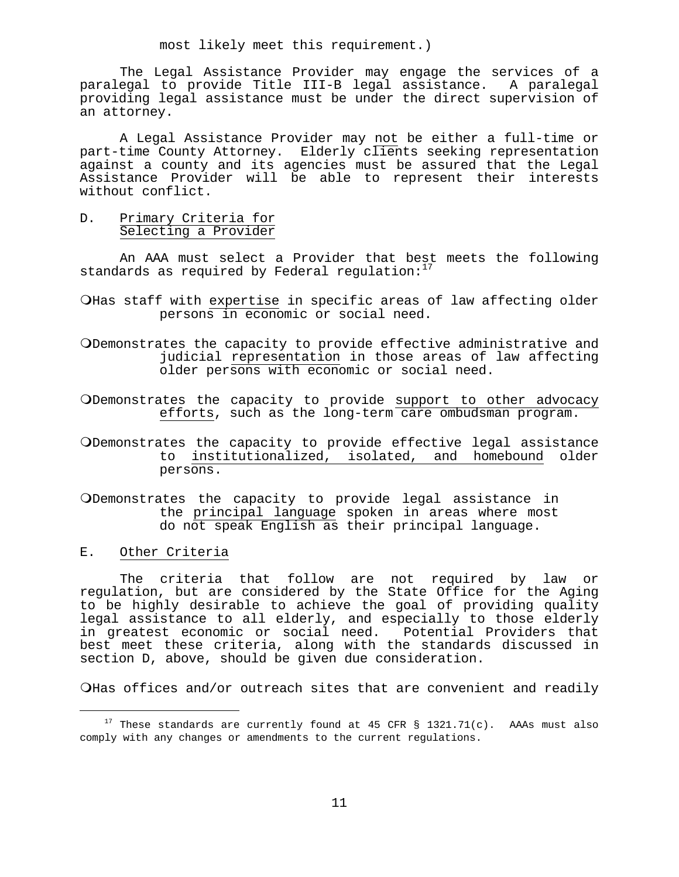most likely meet this requirement.)

 The Legal Assistance Provider may engage the services of a paralegal to provide Title III-B legal assistance. A paralegal providing legal assistance must be under the direct supervision of an attorney.

 A Legal Assistance Provider may not be either a full-time or part-time County Attorney. Elderly clients seeking representation against a county and its agencies must be assured that the Legal Assistance Provider will be able to represent their interests without conflict.

D. Primary Criteria for Selecting a Provider

 An AAA must select a Provider that best meets the following standards as required by Federal regulation: $17$ 

- O Has staff with expertise in specific areas of law affecting older persons in economic or social need.
- Demonstrates the capacity to provide effective administrative and judicial representation in those areas of law affecting older persons with economic or social need.
- Demonstrates the capacity to provide support to other advocacy efforts, such as the long-term care ombudsman program.
- ODemonstrates the capacity to provide effective legal assistance<br>to institutionalized, isolated, and homebound older to institutionalized, isolated, and homebound persons.
- Demonstrates the capacity to provide legal assistance in the principal language spoken in areas where most do not speak English as their principal language.
- E. Other Criteria

 $\overline{\phantom{0}}$ 

 The criteria that follow are not required by law or regulation, but are considered by the State Office for the Aging to be highly desirable to achieve the goal of providing quality legal assistance to all elderly, and especially to those elderly in greatest economic or social need. Potential Providers that best meet these criteria, along with the standards discussed in section D, above, should be given due consideration.

OHas offices and/or outreach sites that are convenient and readily

<span id="page-14-0"></span> $17$  These standards are currently found at 45 CFR § 1321.71(c). AAAs must also comply with any changes or amendments to the current regulations.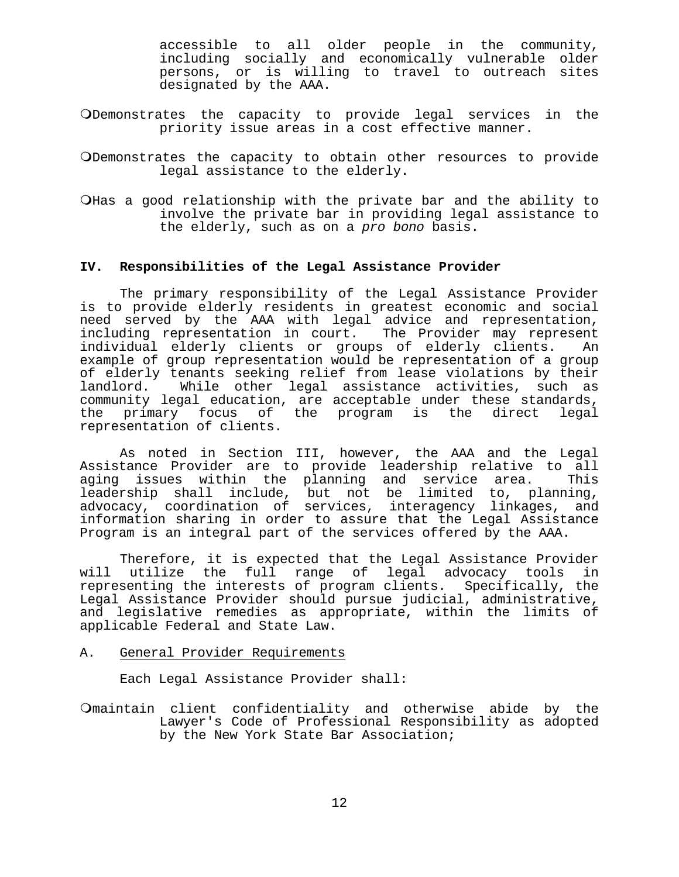accessible to all older people in the community, including socially and economically vulnerable older persons, or is willing to travel to outreach sites designated by the AAA.

- Demonstrates the capacity to provide legal services in the priority issue areas in a cost effective manner.
- Demonstrates the capacity to obtain other resources to provide legal assistance to the elderly.
- OHas a good relationship with the private bar and the ability to involve the private bar in providing legal assistance to the elderly, such as on a *pro bono* basis.

#### **IV. Responsibilities of the Legal Assistance Provider**

 The primary responsibility of the Legal Assistance Provider is to provide elderly residents in greatest economic and social need served by the AAA with legal advice and representation, including representation in court. The Provider may represent individual elderly clients or groups of elderly clients. An example of group representation would be representation of a group of elderly tenants seeking relief from lease violations by their<br>landlord. While other legal assistance activities, such as While other legal assistance activities, such as community legal education, are acceptable under these standards, the primary focus of the program is the direct legal representation of clients.

 As noted in Section III, however, the AAA and the Legal Assistance Provider are to provide leadership relative to all aging issues within the planning and service area. This leadership shall include, but not be limited to, planning, advocacy, coordination of services, interagency linkages, and information sharing in order to assure that the Legal Assistance Program is an integral part of the services offered by the AAA.

 Therefore, it is expected that the Legal Assistance Provider will utilize the full range of legal advocacy tools in representing the interests of program clients. Specifically, the Legal Assistance Provider should pursue judicial, administrative, and legislative remedies as appropriate, within the limits of applicable Federal and State Law.

#### A. General Provider Requirements

Each Legal Assistance Provider shall:

maintain client confidentiality and otherwise abide by the Lawyer's Code of Professional Responsibility as adopted by the New York State Bar Association;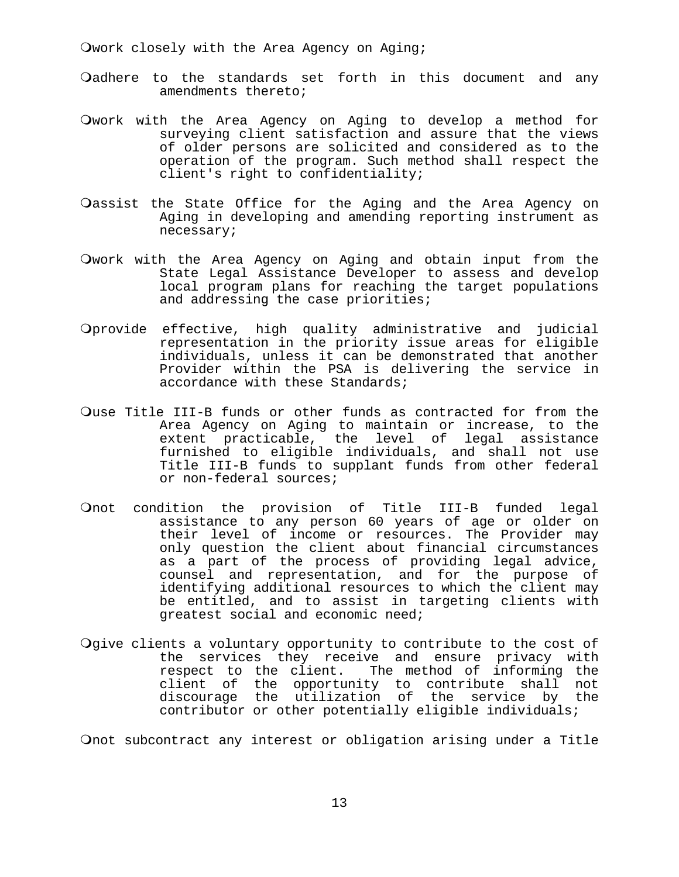Owork closely with the Area Agency on Aging;

- Oadhere to the standards set forth in this document and any amendments thereto;
- Owork with the Area Agency on Aging to develop a method for surveying client satisfaction and assure that the views of older persons are solicited and considered as to the operation of the program. Such method shall respect the client's right to confidentiality;
- Oassist the State Office for the Aging and the Area Agency on Aging in developing and amending reporting instrument as necessary;
- Owork with the Area Agency on Aging and obtain input from the State Legal Assistance Developer to assess and develop local program plans for reaching the target populations and addressing the case priorities;
- Oprovide effective, high quality administrative and judicial representation in the priority issue areas for eligible individuals, unless it can be demonstrated that another Provider within the PSA is delivering the service in accordance with these Standards;
- Quse Title III-B funds or other funds as contracted for from the Area Agency on Aging to maintain or increase, to the extent practicable, the level of legal assistance furnished to eligible individuals, and shall not use Title III-B funds to supplant funds from other federal or non-federal sources;
- Onot condition the provision of Title III-B funded legal assistance to any person 60 years of age or older on their level of income or resources. The Provider may only question the client about financial circumstances as a part of the process of providing legal advice, counsel and representation, and for the purpose of identifying additional resources to which the client may be entitled, and to assist in targeting clients with greatest social and economic need;
- Ogive clients a voluntary opportunity to contribute to the cost of the services they receive and ensure privacy with<br>respect to the client. The method of informing the The method of informing the client of the opportunity to contribute shall not discourage the utilization of the service by the contributor or other potentially eligible individuals;

Onot subcontract any interest or obligation arising under a Title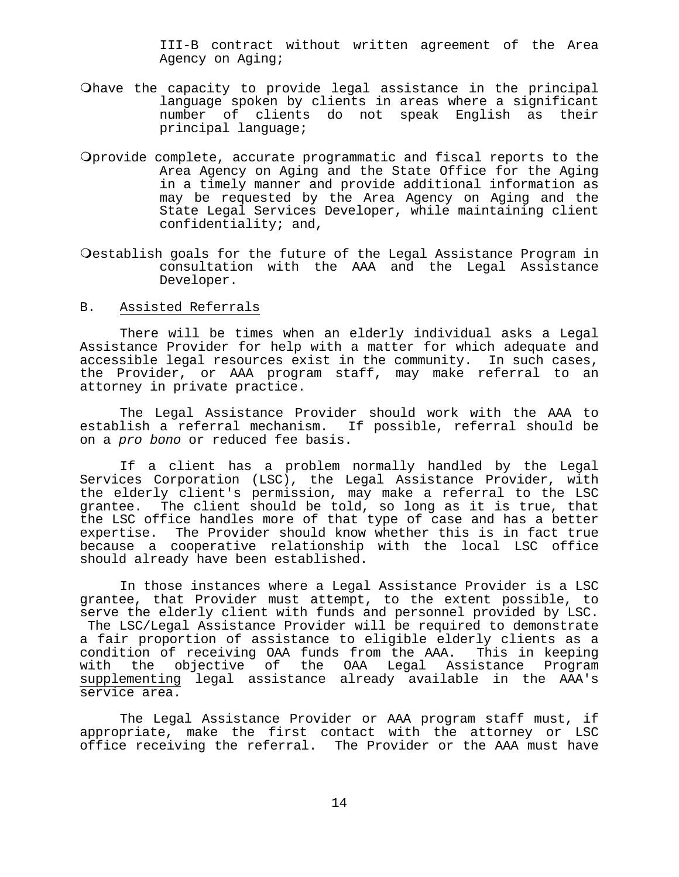III-B contract without written agreement of the Area Agency on Aging;

- Ohave the capacity to provide legal assistance in the principal language spoken by clients in areas where a significant<br>number of clients do not speak English as their number of clients do not speak English as principal language;
- Oprovide complete, accurate programmatic and fiscal reports to the Area Agency on Aging and the State Office for the Aging in a timely manner and provide additional information as may be requested by the Area Agency on Aging and the State Legal Services Developer, while maintaining client confidentiality; and,
- Oestablish goals for the future of the Legal Assistance Program in consultation with the AAA and the Legal Assistance Developer.
- B. Assisted Referrals

 There will be times when an elderly individual asks a Legal Assistance Provider for help with a matter for which adequate and accessible legal resources exist in the community. In such cases, the Provider, or AAA program staff, may make referral to an attorney in private practice.

 The Legal Assistance Provider should work with the AAA to establish a referral mechanism. If possible, referral should be on a *pro bono* or reduced fee basis.

 If a client has a problem normally handled by the Legal Services Corporation (LSC), the Legal Assistance Provider, with the elderly client's permission, may make a referral to the LSC grantee. The client should be told, so long as it is true, that the LSC office handles more of that type of case and has a better expertise. The Provider should know whether this is in fact true because a cooperative relationship with the local LSC office should already have been established.

 In those instances where a Legal Assistance Provider is a LSC grantee, that Provider must attempt, to the extent possible, to serve the elderly client with funds and personnel provided by LSC. The LSC/Legal Assistance Provider will be required to demonstrate a fair proportion of assistance to eligible elderly clients as a condition of receiving OAA funds from the AAA. This in keeping with the objective of the OAA Legal Assistance Program supplementing legal assistance already available in the AAA's service area.

 The Legal Assistance Provider or AAA program staff must, if appropriate, make the first contact with the attorney or LSC office receiving the referral. The Provider or the AAA must have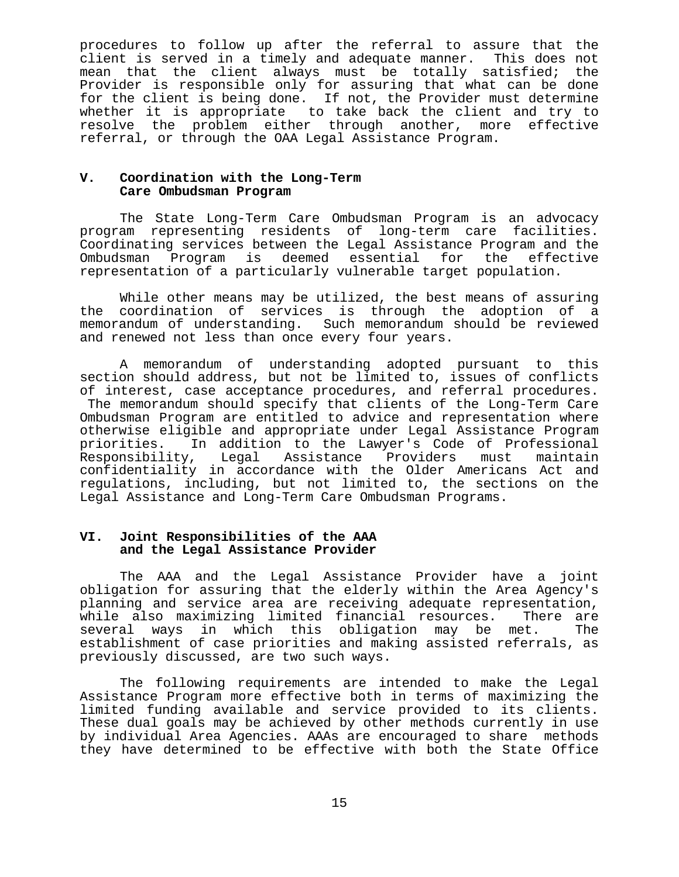procedures to follow up after the referral to assure that the client is served in a timely and adequate manner. This does not mean that the client always must be totally satisfied; the Provider is responsible only for assuring that what can be done for the client is being done. If not, the Provider must determine whether it is appropriate to take back the client and try to resolve the problem either through another, more effective referral, or through the OAA Legal Assistance Program.

#### V. Coordination with the Long-Term  **Care Ombudsman Program**

 The State Long-Term Care Ombudsman Program is an advocacy program representing residents of long-term care facilities. Coordinating services between the Legal Assistance Program and the Ombudsman Program is deemed essential for the effective representation of a particularly vulnerable target population.

 While other means may be utilized, the best means of assuring the coordination of services is through the adoption of a memorandum of understanding. Such memorandum should be reviewed and renewed not less than once every four years.

 A memorandum of understanding adopted pursuant to this section should address, but not be limited to, issues of conflicts of interest, case acceptance procedures, and referral procedures. The memorandum should specify that clients of the Long-Term Care Ombudsman Program are entitled to advice and representation where otherwise eligible and appropriate under Legal Assistance Program priorities. In addition to the Lawyer's Code of Professional Responsibility, Legal Assistance Providers must maintain confidentiality in accordance with the Older Americans Act and regulations, including, but not limited to, the sections on the Legal Assistance and Long-Term Care Ombudsman Programs.

#### VI. Joint Responsibilities of the AAA  **and the Legal Assistance Provider**

 The AAA and the Legal Assistance Provider have a joint obligation for assuring that the elderly within the Area Agency's planning and service area are receiving adequate representation, while also maximizing limited financial resources. There are several ways in which this obligation may be met. The establishment of case priorities and making assisted referrals, as previously discussed, are two such ways.

 The following requirements are intended to make the Legal Assistance Program more effective both in terms of maximizing the limited funding available and service provided to its clients. These dual goals may be achieved by other methods currently in use by individual Area Agencies. AAAs are encouraged to share methods they have determined to be effective with both the State Office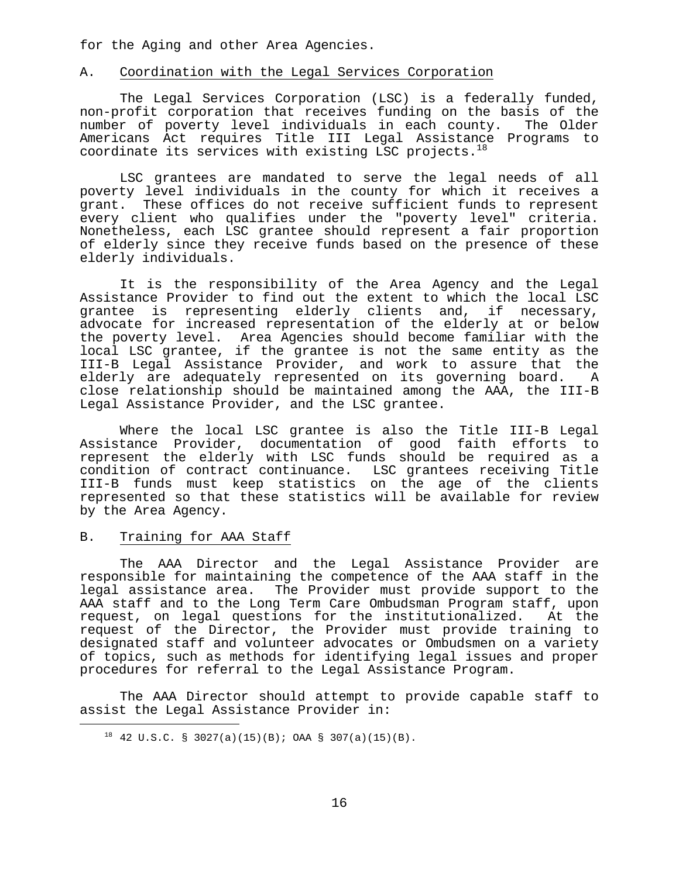for the Aging and other Area Agencies.

#### A. Coordination with the Legal Services Corporation

 The Legal Services Corporation (LSC) is a federally funded, non-profit corporation that receives funding on the basis of the number of poverty level individuals in each county. The Older Americans Act requires Title III Legal Assistance Programs to coordinate its services with existing LSC projects. $18$ 

 LSC grantees are mandated to serve the legal needs of all poverty level individuals in the county for which it receives a grant. These offices do not receive sufficient funds to represent every client who qualifies under the "poverty level" criteria. Nonetheless, each LSC grantee should represent a fair proportion of elderly since they receive funds based on the presence of these elderly individuals.

 It is the responsibility of the Area Agency and the Legal Assistance Provider to find out the extent to which the local LSC grantee is representing elderly clients and, if necessary, advocate for increased representation of the elderly at or below the poverty level. Area Agencies should become familiar with the local LSC grantee, if the grantee is not the same entity as the III-B Legal Assistance Provider, and work to assure that the elderly are adequately represented on its governing board. A close relationship should be maintained among the AAA, the III-B Legal Assistance Provider, and the LSC grantee.

 Where the local LSC grantee is also the Title III-B Legal Assistance Provider, documentation of good faith efforts to represent the elderly with LSC funds should be required as a condition of contract continuance. LSC grantees receiving Title III-B funds must keep statistics on the age of the clients represented so that these statistics will be available for review by the Area Agency.

#### B. Training for AAA Staff

<span id="page-19-0"></span>i

 The AAA Director and the Legal Assistance Provider are responsible for maintaining the competence of the AAA staff in the legal assistance area. The Provider must provide support to the AAA staff and to the Long Term Care Ombudsman Program staff, upon request, on legal questions for the institutionalized. At the request of the Director, the Provider must provide training to designated staff and volunteer advocates or Ombudsmen on a variety of topics, such as methods for identifying legal issues and proper procedures for referral to the Legal Assistance Program.

 The AAA Director should attempt to provide capable staff to assist the Legal Assistance Provider in:

 $18$  42 U.S.C. § 3027(a)(15)(B); OAA § 307(a)(15)(B).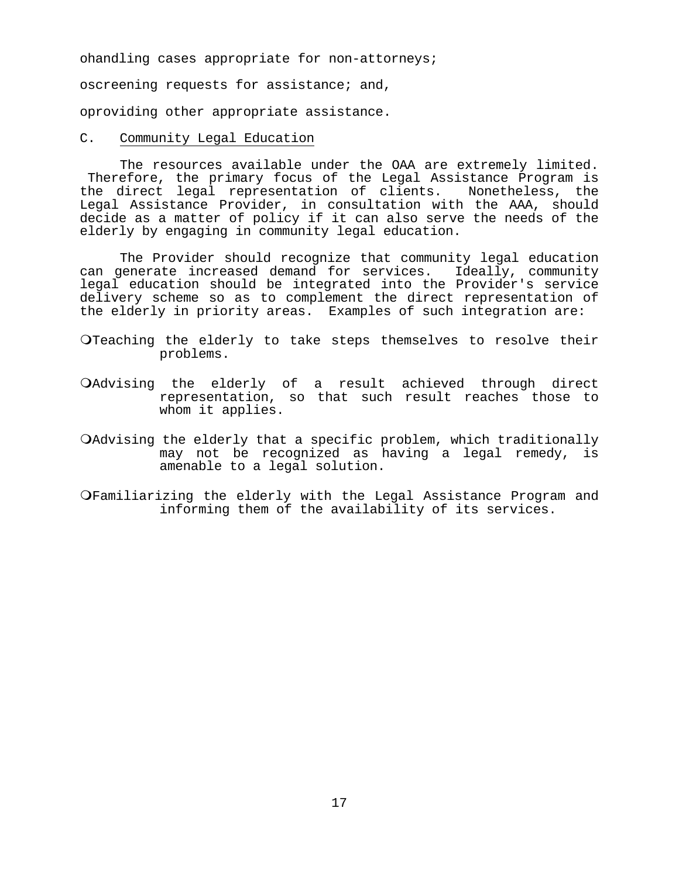ohandling cases appropriate for non-attorneys;

oscreening requests for assistance; and,

oproviding other appropriate assistance.

C. Community Legal Education

 The resources available under the OAA are extremely limited. Therefore, the primary focus of the Legal Assistance Program is the direct legal representation of clients. Nonetheless, the Legal Assistance Provider, in consultation with the AAA, should decide as a matter of policy if it can also serve the needs of the elderly by engaging in community legal education.

 The Provider should recognize that community legal education can generate increased demand for services. Ideally, community legal education should be integrated into the Provider's service delivery scheme so as to complement the direct representation of the elderly in priority areas. Examples of such integration are:

O Teaching the elderly to take steps themselves to resolve their problems.

- Advising the elderly of a result achieved through direct representation, so that such result reaches those to whom it applies.
- Advising the elderly that a specific problem, which traditionally may not be recognized as having a legal remedy, is amenable to a legal solution.
- Familiarizing the elderly with the Legal Assistance Program and informing them of the availability of its services.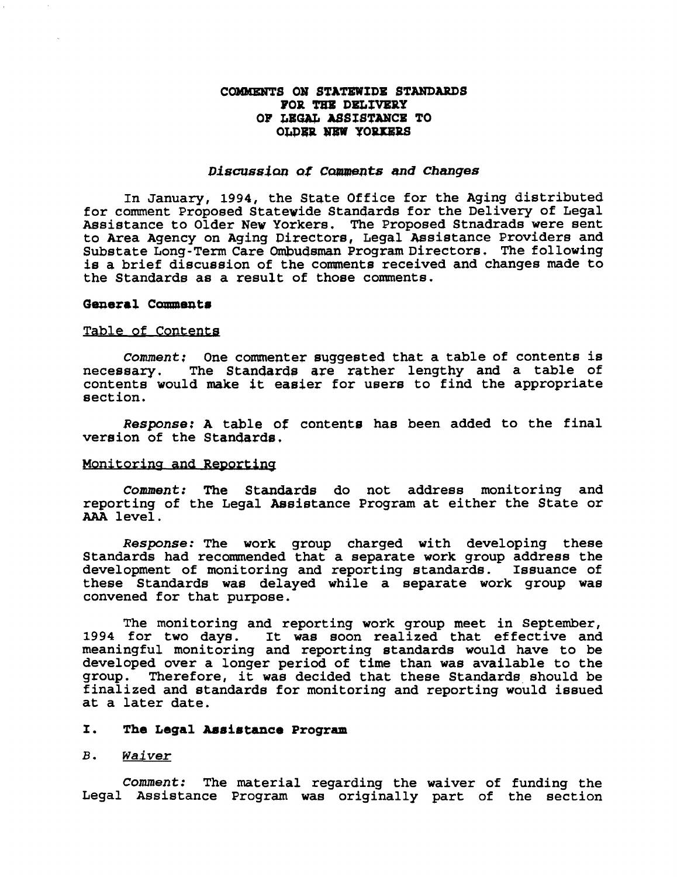#### **COWdENTS ON STATZWIDE STANDARDS POR THE DELIVERY OF LE6W A8SfSTAWCE TO OLDER NEW YORKERS**

#### *Discussion* **af Caments** *and Changes*

**In January, 1994, the State Office for the Aging distributed for comment Proposed Statewide Standards for the Delivery of Legal Assistance to Older New Yorkers. The Proposed Stnadrads were sent to Area Agency on Aging Directors, Legal Sasistance Providers and Substate Long-Term Care Ombudsman Program Directors. The following is a brief discussion of the coments received and changes made to the Standards as a result of those comments.** 

#### General Comments

#### Table of Contents

**Comment:** One commenter suggested that a table of contents is necessary. The Standards are rather lengthy and a table of **necessary. The Stanaards are rather lengthy and a table of contents would make it easier for users to find the appropriate section.** 

**Response: A table of contents has been added to the final version of the Stanaarda,** 

### Monitoring and Reporting

**Comment: The Standards do not address monitoring and reporting of the Legal Assistance Program at either the State or AAA level.** 

**Response: The work group charged with developing these Standards had recommended that a separate work group address the development of monitoring and reporting standards. Issuance of these Standards was delayed while a separate work group was convened for that purpose.** 

**The monitoring and reporting work group meet in September, 1994 for two days. It was soon realized that effective and meaningful monitoring and reporting standards would have to be developed over a longer period of time than was available to the group. Therefore, it was decided that these Standards should be finalized and standards for monitoring and reporting would issued at a later date.** 

#### **I.** The Legal Assistance Program

#### **B. Waiver**

**Comment: The material regarding the waiver of funding the Legal Assistance Program was originally part of the section**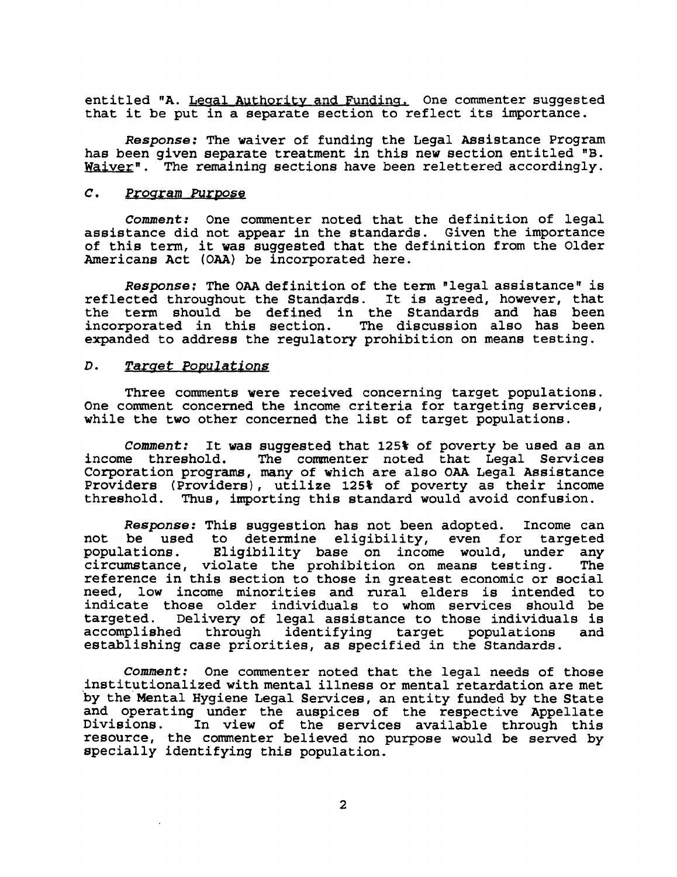entitled "A. Legal Authority and Funding, One commenter suggested that it be put in a separate section to reflect its importance.

**Response:** The waiver of funding the Legal Assistance Program has been given separate treatment in this new section entitled **"B.**   $\texttt{Waiver}$ . The remaining sections have been relettered accordingly.

#### $\overline{c}$ . Program Purpose

**Comment:** One commenter noted that the definition of legal assistance did not appear in the standards. Given the importance of this term, it was suggested that the definition from the Older Americans Act (OAA) be incorporated here.

**Response:** The OAA definition of the term "legal assistance" is reflected throughout the Standards. It is agreed, however, that the tern should be defined in the Standards and has been incorporated in this section. The discussion also has been expanded to address the regulgtory prohibition on means testing.

#### $D<sub>1</sub>$ **Tarqet Powulations**

Three comments were received concerning target populations. One comment concerned the income criteria for targeting services, while the two other concerned the list of target populations.

**Comment:** It was suggested that 125% of poverty be used as an income threshold. The commenter noted that Legal Services The commenter noted that Legal Services Corporation programs, many of which are also OAA Legal Assistance Providers (Providers), utilize **125%** of poverty as their income Thus, importing this standard would avoid confusion.

**Response:** This suggestion has not been adopted. Income can not be used to determine eligibility, even for targeted<br>populations. Eligibility base on income would, under any Eligibility base on income would, under any<br>iolate the probibition on means testing. The circumstance, violate the prohibition on means testing. reference in this section to those in greatest economic or social need, low income minorities and rural elders is intended to indicate those older individuals to whom services should be targeted. Delivery of legal assistance to those individuals is through identifying target establishing case priorities, as specified in the Standards.

**Comment:** One commenter noted that the legal needs of those institutionalized with mental illness or mental retardation are met 'by the' Mental Hygiene Legal Services, an entity funded by the State and operating under the auspices of the respective Appellate Divisions. In view of the services available through this resource, the commenter believed no purpose would be served by specially identifying this population.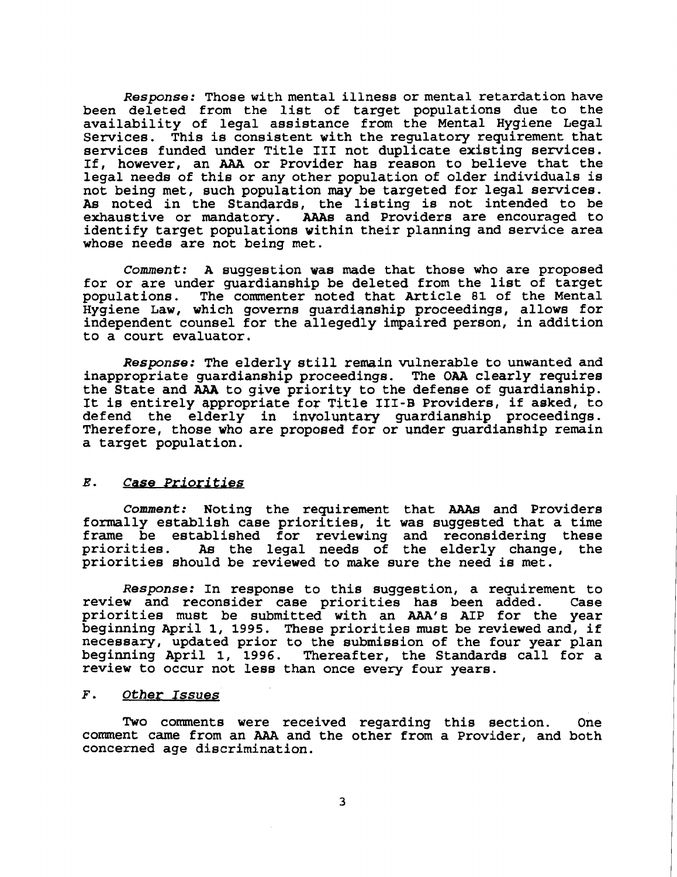**Response:** Those with mental illness or mental retardation have been deleted from the list of target populations due to the availability of legal assistance from the Mental Hygiene Legal Services. This is consistent with the regulatory requirement that services funded under Title I11 not duplicate existing services. If, however, an **AAA** or Provider has reason to believe that the legal needs of this or any other population of older individuals is not being met, such population may be targeted for legal services. As noted in the Standards, the listing is not intended to be exhaustive or mandatory. AAAs and Providers are encouraged to AAAs and Providers are encouraged to identify target populations vithin their planning and service area whose needs are not being met.

**Comment: A** suggestion was made that those who are proposed for or are under guardianship be deleted from the list of target<br>populations. The commenter noted that Article 81 of the Mental The commenter noted that Article 81 of the Mental Hygiene Law, which governs guardianship proceedings, allows for independent counsel for the allegedly impaired person, in addition to a court evaluator.

**Response:** The elderly still remain vulnerable to unwanted and inappropriate guardianship proceedings. The OAA clearly requires the State and **AAA** to give priority to the defense of guardianship. It is entirely appropriate for Title 111-B Providers, if asked, to defend the elderly in involuntary guardianship proceedings. Therefore, those who are proposed for or under guardianship remain a target population.

#### *E.* **Case Priorities**

**Comment:** Noting the requirement that **AAAs** and Providers formally establish case priorities, it was suggested that a time frame be established for reviewing and reconsidering these As the legal needs of the elderly change, the priorities should be reviewed to make sure the need is met.

**Response:** In response to this suggestion, a requirement to review and reconsider case priorities has been added. Case priorities must be submitted with an AAA1s AIP for the year beginning April 1, **1995.** These priorities must be reviewed and, if necessary, updated prior to the submission of the four year plan beginning April 1, **1996.** Thereafter, the Standards call for a review to occur not less than once every four years.

#### **F. Other Issues**

Two comments were received regarding this section. One comment came from an **AAA** and the other from a Provider, and both concerned age discrimination.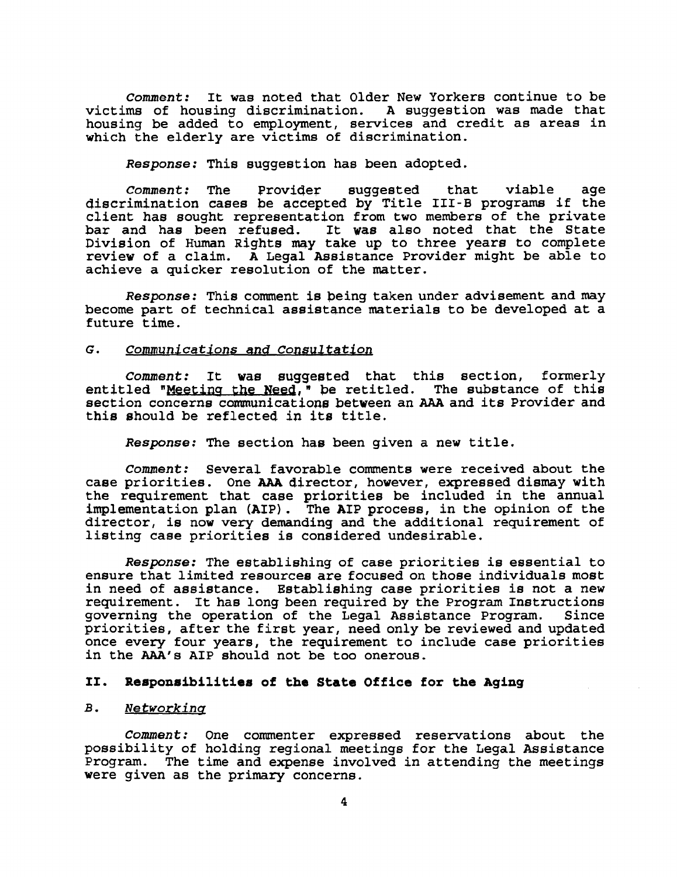**Comment:** It was noted that Older New Yorkers continue to be victims of housing discrimination. **A** suggestion was made that housing be added to employment, services and credit as areas in which the elderly are victims of discrimination.

**Response:** This suggestion has been adopted.

**Comment:** The Proviqer suggested that viable age discrimination cases be qccepted by Title **111-B** programs if the client has sought representation from two members of the private bar and has been refused. It was also noted that the State Division of Human Rights may take up to three years to complete reviev of a claim. **A** Legal Assistance Provider might be able to achieve a quicker resolution of the matter.

**Response:** This comment is being taken under advisement and may become part of technical assistance materials to be developed at a future time.

#### G. **Communications and Conaultatiorl**

**Comment:** It was suggegted that this section, formerly entitled "Meeting the Need," be retitled. The substance of this section concerns communicationg betveen an AAA and its Provider and this should be reflected in its title.

**Response:** The section has been given a new title.

**Comment:** Several favorable comments were received about the case priorities. One **AAA** director, however, expressed dismay with the requirement that case priorities be included in the annual implementation plan (AIP) . The AIP process, in the opinion of the director, is now very demanding and the additional requirement of listing case priorities is considered undesirable.

**Response:** The establishing of case priorities is essential to ensure that limited resources are focused on those individuals most in need of assistance. Establishing case priorities is not a new requirement. It has long been required by the Program Instructions<br>governing the operation of the Legal Assistance Program. Since governing the operation of the Legal Assistance Program. priorities, after the first year, need only be reviewed and updated once every four years, the requirement to include case priorities in the AAA's AIP should not be too onerous.

#### **11. Reaponaibilitiea of the State Office for the Aging**

#### $B<sub>1</sub>$ Networking

**Comment:** One commenter expressed reservations about the possibility of holding regional meetings for the Legal Assistance Program. The time and expense involved in attending the meetings were given as the primary concerns.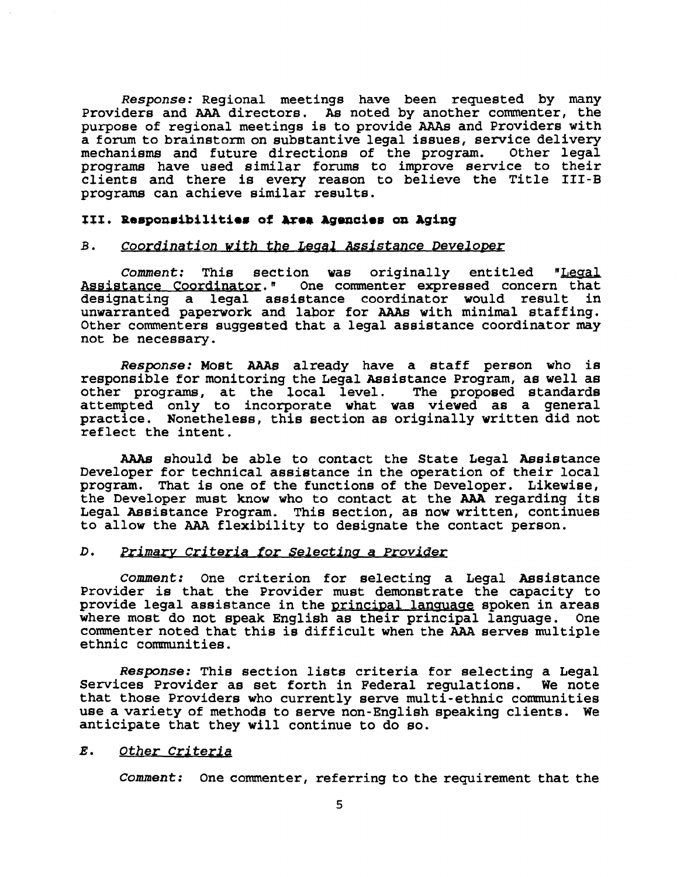Response: Regional meetings have been requested by many Providers and **AAA** directors. As noted by another commenter, the purpose of regional meetings is to provide **AAAs** and Providers with a forum to brainstorm on substantive legal issues, service delivery mechanisms and future directions of the program. Other legal mechanisms and future directions of the program. programs have used similar fonuns to improve service to their clients and there is every reason to believe the Title **111-B**  programs can achieve similar results.

#### **TIT. Beapoaaibilitiea of me@ &genciea on aging**

#### **B.** Coordination with the Legal Assistance Developer

Comment: This section was originally entitled "Legal Assistance Coordinator." One commenter expressed concern that designating a legal assistance coordinator would result in unwarranted paperwork and laor for **AAAs** with minimal staffing. Other commenters suggested that a legal assistance coordinator may not be necessary.

**Response: Most AAAs already have a staff person who is** responsible for monitoring the Legal Assistance Program, as well as other programs, at the Jocal level. The proposed standards attempted only to incorporate vhat vas viewed as a general practice. Nonetheless, this section as originally written did not reflect the intent.

**AAAs** should be able to contact the State Legal Assistance Developer for technical assistance in the operation of their local program. That is one of the functions of the Developer. Likewise, the Developer must know who to contact at the **AAA** regarding its Legal Assistance Program. This section, as now written, continues to allow the **AAA** flexibility to designate the contact person.

#### D. Primary Criteria for Selecting a Provider

Comment: One criterion for selecting a Legal Assistance Provider is that the Provider must demonstrate the capacity to provide legal assistance in the principal language spoken in areas where most do not speak English as their principal language. One commenter noted that this is difficult when the **AAA** serves multiple ethnic communities.

**Resp0nse:** This section lists criteria for selecting a Legal Services Provider as set forth in Federal regulations. that those Providers who currently serve multi-ethnic communities use a variety of methods to serve non-English speaking clients. We anticipate that they will continue to do so.

#### E. Other Criterig

Comment: One commenter, referring to the requirement that the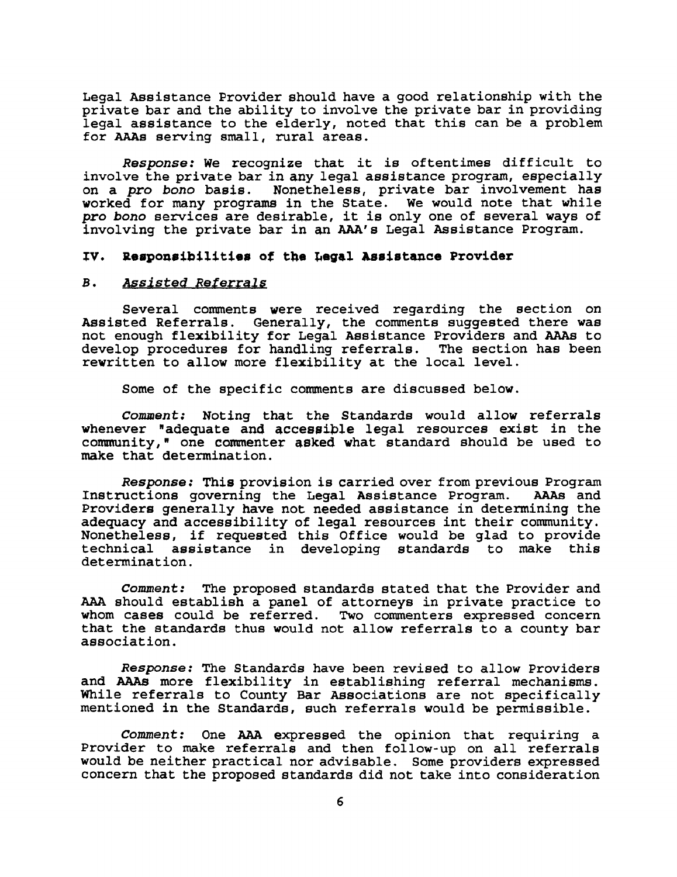Legal Assistance Provider should have a good relationship with the private bar and the ability to involve the private bar in providing legal assistance to the elderly, noted that this can be a problem for **AAAs** serving small, rural areas.

**Response:** We recognize that it is oftentimes difficult to involve the private bar in any legal assistance program, especially on a **pro bono** basis. Nonetheless, private bar involvement has vorked for many programs in the State. We would note that while **pro bono** services are desir&le, it is only one of several ways of involving the private bar in an AAA's Legal Assistance Program.

#### IV. Responsibilities of the Legal Assistance Provider

#### **B. Assisted Referrals**

Several comments vere received regarding the section on Assisted Referrals. Generally, the comments suggested there was not enough flexibility for Legal Assistance Providers and **AAAs** to develop procedures for handling referrals. The section has been rewritten to allow more flexibility at the local level.

Some of the specific comments are discussed below.

**Comment:** Noting thqt the Standards would allow referrals whenever "adequate and accessible legal resources exist in the community," one commenter asked what standard should be used to make that determination.

**Response:** This provision is carried over from previous Program Instructions governing the Legal Assistance Program. Providers generally have not needed assistance in determining the adequacy and accessibility of legal resources int their comnunity. Nonetheless, if requested this Office would be glad to provide technical assistance in developing standards to make this determination.

**Comment:** The proposed standards stated that the Provider and **AAA** should establish a panel of attorneys in private practice to whom cases could be referred. Two commenters expressed concern that the standards thus would not allow referrals to a county bar association.

**Response:** The Standards have been revised to allow Providers and **AAAs** more flexibility in establishing referral mechanisms. While referrals to County Bar Associations are not specifically mentioned in the Standards, such referrals would be permissible.

**Comment:** One **AAA** expressed the opinion that requiring a Provider to make referrals and then follow-up on all referrals would be neither practical nor advisable. Some providers expressed concern that the proposed standards did not take into consideration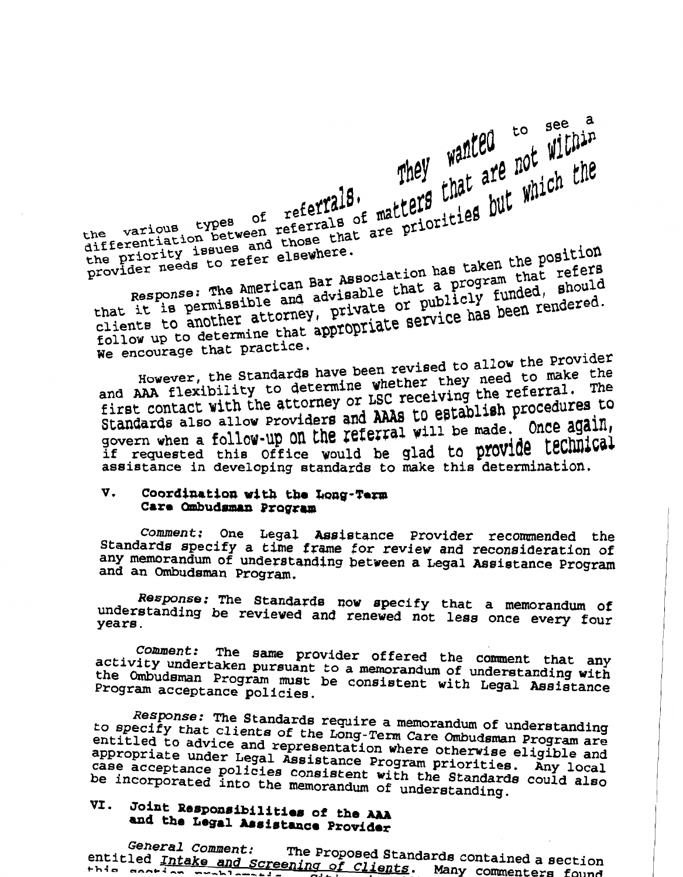They wanted to see a wanted which the various types of referrals. They wanted are not within<br>the priority issues and those that are priorities but which the<br>provider needs to refer elsewhere. hat it is permissible and advisance or publicly functions in the permissible and advisance or publicly functions Response: The American Bar Association has taken the position clients to another attorney, private or publicly funded, should ollow up to determine that appropriate  $\frac{1}{2}$ **We encourage that practice.** 

lowever, the Standards have been revised to make the nd AAA flexibility to determine whether say, the referral. The **first contact with the attorney or LSC receiving the referral. The Standards also allow Providers and AAAs to establish procedures to** govern when a follow-up on the referral will be made. Once again, If requested this office would be glad to provide technical assistance in developing standards to make this determination.

### **V.** Coordination with the Long-Term **Care Ombudsman Program**

Comment: One Legal Assistance Provider recommended the **Standards specify a time frame for review and reconsideration of anidated specify a cime frame for review and reconsideration of and an Ombudsman Program.** 

*Response: The* **Standards nov specify that a memorandum of**  nderstanding be reviewed and **specify** that a memorandum of understanding be reviewed and renewed not less once every four

*Comment:* **The same provider offered the cananent that any**  comment: The same provider offered the comment that any activity undertaken pursuant to a memorandum of understanding with the Ombudsman Program must be consistent with Legal Assistance Program acceptance policies.

*Response:* **The Standards require a memorandum of understanding**  to specify that clients of the Standards require a memorandum of understanding **entitled to advice and representation where otherrise eligible and appropriate under Legal Assistance Program priorities. Any local case acceptance policies consistent with the Standards could also**  case acceptance policies consistent with the Standards could also<br>be incorporated into the memorandum of understanding. overn when a fould will but reviewer<br>
if requested this office would be glad to provide technical<br>
sasistance in developing standards to make this determination.<br>
V. Coordination with the Long-Term<br>
Comment: One Legal Assi

## **VI. Joint Responf~ibilitier of the AAA**  <sup>OINE</sup> Responsibilities of the AAA

**the Proposed Standards contained a section**<br>entitled Intake and Screening of Clients. Many commenters found